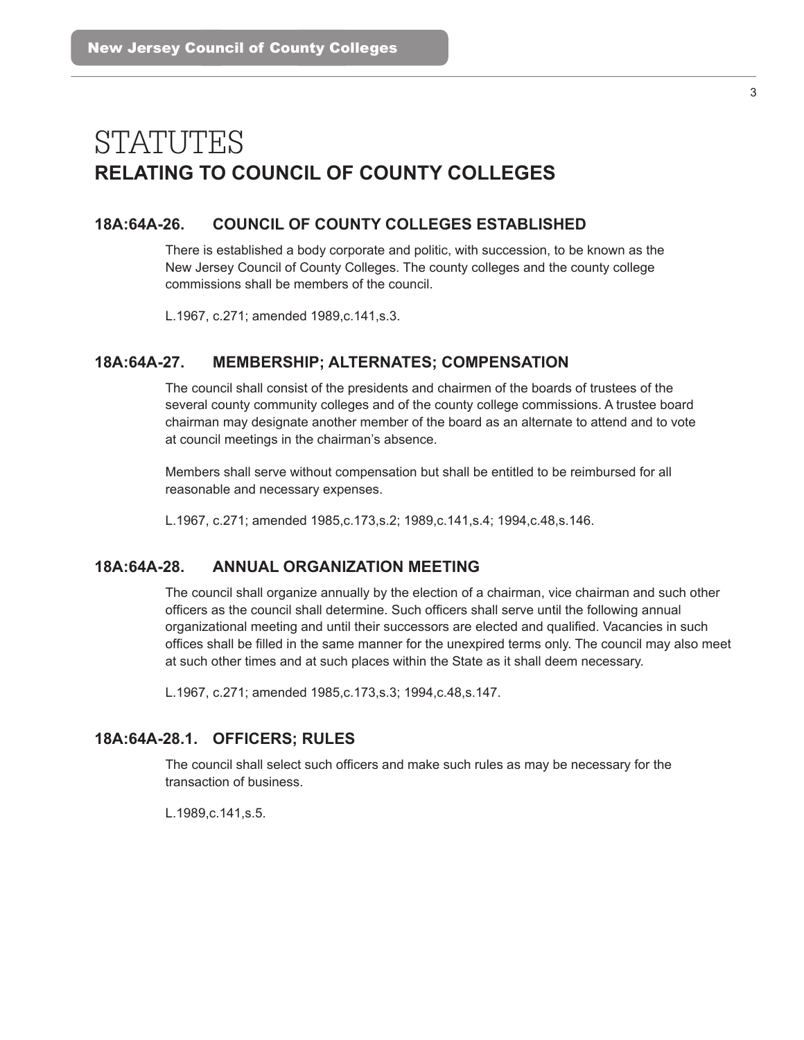# STATUTES **RELATING TO COUNCIL OF COUNTY COLLEGES**

# **18A:64A-26. COUNCIL OF COUNTY COLLEGES ESTABLISHED**

There is established a body corporate and politic, with succession, to be known as the New Jersey Council of County Colleges. The county colleges and the county college commissions shall be members of the council.

L.1967, c.271; amended 1989,c.141,s.3.

## **18A:64A-27. MEMBERSHIP; ALTERNATES; COMPENSATION**

The council shall consist of the presidents and chairmen of the boards of trustees of the several county community colleges and of the county college commissions. A trustee board chairman may designate another member of the board as an alternate to attend and to vote at council meetings in the chairman's absence.

Members shall serve without compensation but shall be entitled to be reimbursed for all reasonable and necessary expenses.

L.1967, c.271; amended 1985,c.173,s.2; 1989,c.141,s.4; 1994,c.48,s.146.

## **18A:64A-28. ANNUAL ORGANIZATION MEETING**

The council shall organize annually by the election of a chairman, vice chairman and such other officers as the council shall determine. Such officers shall serve until the following annual organizational meeting and until their successors are elected and qualifed. Vacancies in such offices shall be filled in the same manner for the unexpired terms only. The council may also meet at such other times and at such places within the State as it shall deem necessary.

L.1967, c.271; amended 1985,c.173,s.3; 1994,c.48,s.147.

## **18A:64A-28.1. OFFICERS; RULES**

The council shall select such officers and make such rules as may be necessary for the transaction of business.

L.1989,c.141,s.5.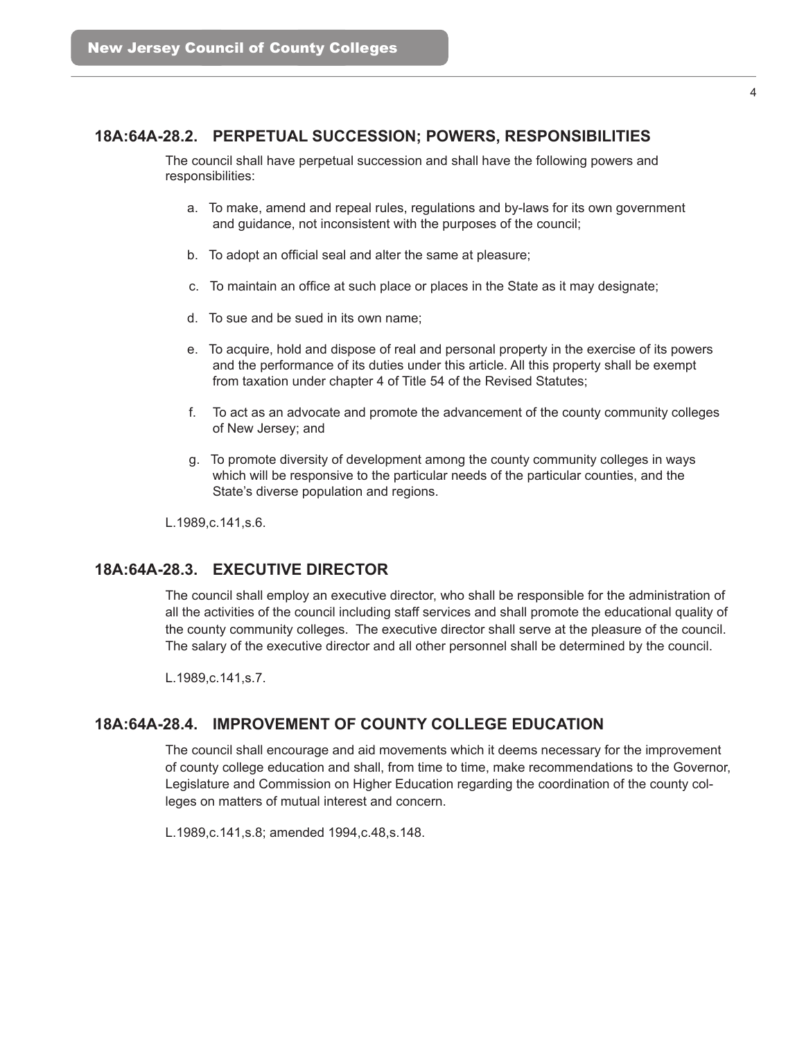# **18A:64A-28.2. PERPETUAL SUCCESSION; POWERS, RESPONSIBILITIES**

The council shall have perpetual succession and shall have the following powers and responsibilities:

- a. To make, amend and repeal rules, regulations and by-laws for its own government and guidance, not inconsistent with the purposes of the council;
- b. To adopt an official seal and alter the same at pleasure;
- c. To maintain an offce at such place or places in the State as it may designate;
- d. To sue and be sued in its own name;
- e. To acquire, hold and dispose of real and personal property in the exercise of its powers and the performance of its duties under this article. All this property shall be exempt from taxation under chapter 4 of Title 54 of the Revised Statutes;
- f. To act as an advocate and promote the advancement of the county community colleges of New Jersey; and
- g. To promote diversity of development among the county community colleges in ways which will be responsive to the particular needs of the particular counties, and the State's diverse population and regions.

L.1989,c.141,s.6.

#### **18A:64A-28.3. EXECUTIVE DIRECTOR**

The council shall employ an executive director, who shall be responsible for the administration of all the activities of the council including staff services and shall promote the educational quality of the county community colleges. The executive director shall serve at the pleasure of the council. The salary of the executive director and all other personnel shall be determined by the council.

L.1989,c.141,s.7.

# **18A:64A-28.4. IMPROVEMENT OF COUNTY COLLEGE EDUCATION**

The council shall encourage and aid movements which it deems necessary for the improvement of county college education and shall, from time to time, make recommendations to the Governor, Legislature and Commission on Higher Education regarding the coordination of the county colleges on matters of mutual interest and concern.

L.1989,c.141,s.8; amended 1994,c.48,s.148.